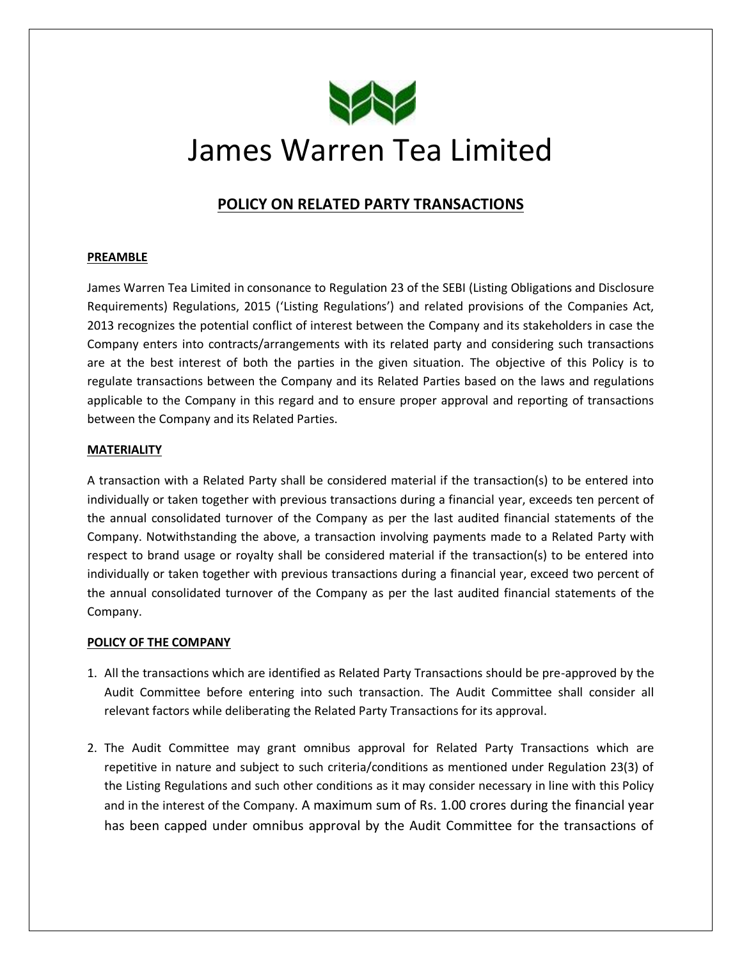

# James Warren Tea Limited

# **POLICY ON RELATED PARTY TRANSACTIONS**

## **PREAMBLE**

James Warren Tea Limited in consonance to Regulation 23 of the SEBI (Listing Obligations and Disclosure Requirements) Regulations, 2015 ('Listing Regulations') and related provisions of the Companies Act, 2013 recognizes the potential conflict of interest between the Company and its stakeholders in case the Company enters into contracts/arrangements with its related party and considering such transactions are at the best interest of both the parties in the given situation. The objective of this Policy is to regulate transactions between the Company and its Related Parties based on the laws and regulations applicable to the Company in this regard and to ensure proper approval and reporting of transactions between the Company and its Related Parties.

### **MATERIALITY**

A transaction with a Related Party shall be considered material if the transaction(s) to be entered into individually or taken together with previous transactions during a financial year, exceeds ten percent of the annual consolidated turnover of the Company as per the last audited financial statements of the Company. Notwithstanding the above, a transaction involving payments made to a Related Party with respect to brand usage or royalty shall be considered material if the transaction(s) to be entered into individually or taken together with previous transactions during a financial year, exceed two percent of the annual consolidated turnover of the Company as per the last audited financial statements of the Company.

### **POLICY OF THE COMPANY**

- 1. All the transactions which are identified as Related Party Transactions should be pre-approved by the Audit Committee before entering into such transaction. The Audit Committee shall consider all relevant factors while deliberating the Related Party Transactions for its approval.
- 2. The Audit Committee may grant omnibus approval for Related Party Transactions which are repetitive in nature and subject to such criteria/conditions as mentioned under Regulation 23(3) of the Listing Regulations and such other conditions as it may consider necessary in line with this Policy and in the interest of the Company. A maximum sum of Rs. 1.00 crores during the financial year has been capped under omnibus approval by the Audit Committee for the transactions of